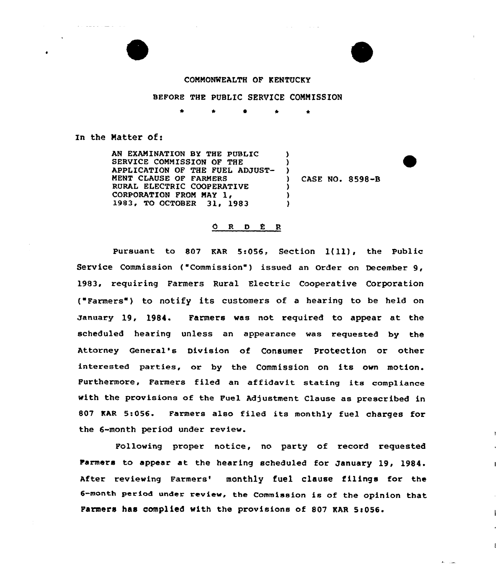الرواب المتعهدات للمستداد المحارب

## CONNONWEALTH OF KENTUCKY

## BEFORE THE PUBLIC SERVICE CONNISSION

) )

) ) )

<sup>0</sup> \* \*

In the Natter of:

AN EXANINATION BY THE PUBLIC SERVICE CONNISSION OF THE APPLICATION OF THE FUEL ADJUST-MENT CLAUSE OF FARMERS RURAL ELECTRIC COOPERATIVE CORPORATION FROM MAY 1. 1983, TO OCTOBER 31, 1983

) CASE NO. 8598-B

## ORDER

Pursuant to <sup>807</sup> EAR 5:056, Section 1(ll), the Public Service Commission ("Commission") issued an Order on December 9, 1983, requiring Farmers Rural Electric Cooperative Corporation ( Farmers ) to notify its customers of <sup>a</sup> hearing to be held on January 19, 1984. Farmers was not required to appear at the scheduled hearing unless an appearance was requested by the Attorney General's Division of Consumer Protection or other interested parties, or by the Commission on its own motion. Furthermore, Farmers filed an affidavit. stating its compliance with the provisions of the Fuel Adjustment Clause as prescribed in 807 KAR 5:056. Farmers also filed its monthly fuel charges for the 6-month period under review.

Following proper notice, no party of record requested Farmers to appear at the hearing scheduled for January 19, 1984 After reviewing Farmers' monthly fuel clause filings for the 6-month period under review, the Commission is of the opinion that Farmers has complied with the provisions of 807 KAR 5:056.